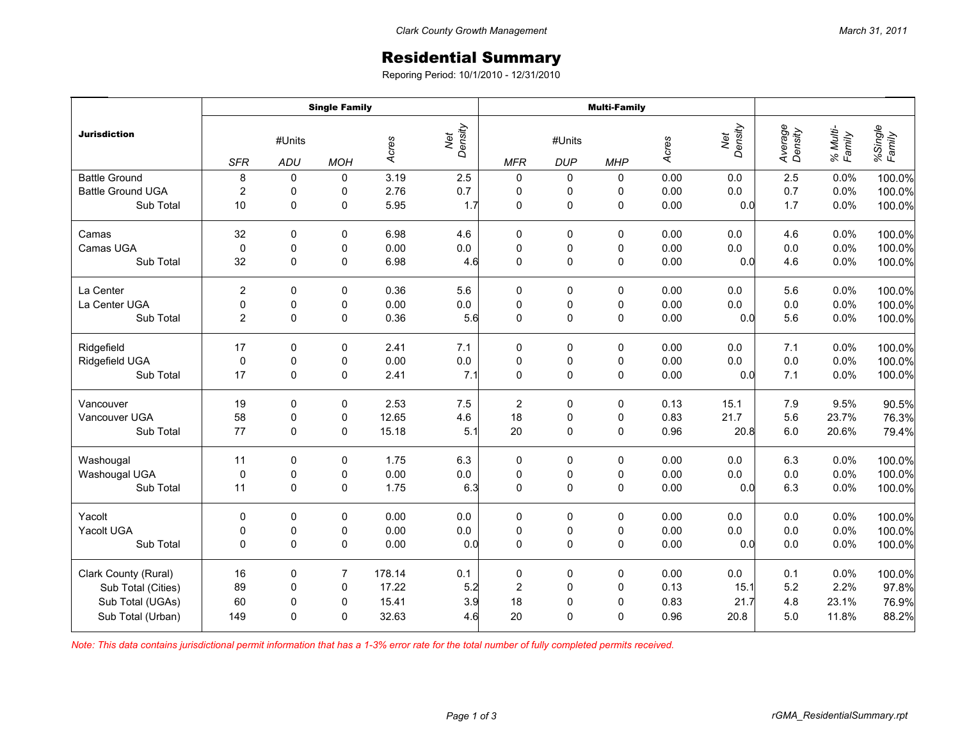## Residential Summary

Reporing Period: 10/1/2010 - 12/31/2010

| <b>Jurisdiction</b>      | <b>Single Family</b> |               |                |        |                | <b>Multi-Family</b> |                      |             |       |                |                    |                    |                   |
|--------------------------|----------------------|---------------|----------------|--------|----------------|---------------------|----------------------|-------------|-------|----------------|--------------------|--------------------|-------------------|
|                          | <b>SFR</b>           | #Units<br>ADU | <b>MOH</b>     | Acres  | Net<br>Density | <b>MFR</b>          | #Units<br><b>DUP</b> | <b>MHP</b>  | Acres | Net<br>Density | Average<br>Density | % Multi-<br>Family | %Single<br>Family |
| <b>Battle Ground</b>     | 8                    | 0             | 0              | 3.19   | 2.5            | 0                   | 0                    | 0           | 0.00  | 0.0            | 2.5                | 0.0%               | 100.0%            |
| <b>Battle Ground UGA</b> | $\overline{2}$       | 0             | 0              | 2.76   | 0.7            | $\pmb{0}$           | 0                    | 0           | 0.00  | 0.0            | 0.7                | 0.0%               | 100.0%            |
| Sub Total                | 10                   | $\mathbf 0$   | 0              | 5.95   | 1.7            | 0                   | $\pmb{0}$            | $\mathbf 0$ | 0.00  | 0.0            | 1.7                | 0.0%               | 100.0%            |
| Camas                    | 32                   | $\mathbf 0$   | 0              | 6.98   | 4.6            | 0                   | 0                    | 0           | 0.00  | 0.0            | 4.6                | 0.0%               | 100.0%            |
| Camas UGA                | $\mathbf 0$          | $\mathbf 0$   | 0              | 0.00   | 0.0            | $\pmb{0}$           | $\pmb{0}$            | 0           | 0.00  | 0.0            | 0.0                | 0.0%               | 100.0%            |
| Sub Total                | 32                   | $\mathbf 0$   | 0              | 6.98   | 4.6            | $\mathbf 0$         | $\mathsf 0$          | $\pmb{0}$   | 0.00  | 0.0            | 4.6                | 0.0%               | 100.0%            |
| La Center                | $\overline{2}$       | $\mathbf 0$   | $\mathbf 0$    | 0.36   | 5.6            | $\pmb{0}$           | 0                    | $\mathbf 0$ | 0.00  | 0.0            | 5.6                | 0.0%               | 100.0%            |
| La Center UGA            | $\pmb{0}$            | 0             | 0              | 0.00   | 0.0            | $\pmb{0}$           | 0                    | 0           | 0.00  | 0.0            | $0.0\,$            | 0.0%               | 100.0%            |
| Sub Total                | $\overline{2}$       | $\mathbf{0}$  | 0              | 0.36   | 5.6            | $\Omega$            | 0                    | $\mathbf 0$ | 0.00  | 0.0            | 5.6                | 0.0%               | 100.0%            |
| Ridgefield               | 17                   | 0             | 0              | 2.41   | 7.1            | $\pmb{0}$           | 0                    | 0           | 0.00  | 0.0            | 7.1                | 0.0%               | 100.0%            |
| Ridgefield UGA           | $\mathbf 0$          | $\pmb{0}$     | 0              | 0.00   | $0.0\,$        | $\mathbf 0$         | $\pmb{0}$            | $\pmb{0}$   | 0.00  | 0.0            | 0.0                | 0.0%               | 100.0%            |
| Sub Total                | 17                   | $\mathbf 0$   | $\mathbf 0$    | 2.41   | 7.1            | $\mathbf 0$         | 0                    | $\mathbf 0$ | 0.00  | 0.0            | 7.1                | 0.0%               | 100.0%            |
| Vancouver                | 19                   | $\mathbf 0$   | 0              | 2.53   | 7.5            | $\overline{c}$      | 0                    | 0           | 0.13  | 15.1           | 7.9                | 9.5%               | 90.5%             |
| Vancouver UGA            | 58                   | $\pmb{0}$     | 0              | 12.65  | 4.6            | 18                  | $\pmb{0}$            | $\pmb{0}$   | 0.83  | 21.7           | 5.6                | 23.7%              | 76.3%             |
| Sub Total                | 77                   | $\mathbf 0$   | 0              | 15.18  | 5.1            | 20                  | $\mathsf 0$          | $\mathsf 0$ | 0.96  | 20.8           | 6.0                | 20.6%              | 79.4%             |
| Washougal                | 11                   | 0             | 0              | 1.75   | 6.3            | 0                   | 0                    | 0           | 0.00  | 0.0            | 6.3                | 0.0%               | 100.0%            |
| Washougal UGA            | $\mathbf 0$          | 0             | 0              | 0.00   | $0.0\,$        | $\pmb{0}$           | $\pmb{0}$            | 0           | 0.00  | 0.0            | $0.0\,$            | 0.0%               | 100.0%            |
| Sub Total                | 11                   | $\mathbf 0$   | 0              | 1.75   | 6.3            | 0                   | 0                    | $\mathbf 0$ | 0.00  | 0.0            | 6.3                | 0.0%               | 100.0%            |
| Yacolt                   | $\mathbf 0$          | 0             | 0              | 0.00   | 0.0            | $\pmb{0}$           | 0                    | 0           | 0.00  | 0.0            | $0.0\,$            | 0.0%               | 100.0%            |
| Yacolt UGA               | $\pmb{0}$            | $\mathbf 0$   | 0              | 0.00   | $0.0\,$        | $\pmb{0}$           | $\pmb{0}$            | $\pmb{0}$   | 0.00  | $0.0\,$        | $0.0\,$            | 0.0%               | 100.0%            |
| Sub Total                | $\Omega$             | $\Omega$      | 0              | 0.00   | 0.0            | $\Omega$            | 0                    | 0           | 0.00  | 0.0            | 0.0                | 0.0%               | 100.0%            |
| Clark County (Rural)     | 16                   | $\mathbf 0$   | $\overline{7}$ | 178.14 | 0.1            | $\pmb{0}$           | 0                    | 0           | 0.00  | 0.0            | 0.1                | 0.0%               | 100.0%            |
| Sub Total (Cities)       | 89                   | 0             | 0              | 17.22  | 5.2            | $\overline{c}$      | $\pmb{0}$            | 0           | 0.13  | 15.1           | 5.2                | 2.2%               | 97.8%             |
| Sub Total (UGAs)         | 60                   | 0             | 0              | 15.41  | 3.9            | 18                  | $\pmb{0}$            | $\mathbf 0$ | 0.83  | 21.7           | 4.8                | 23.1%              | 76.9%             |
| Sub Total (Urban)        | 149                  | $\Omega$      | 0              | 32.63  | 4.6            | 20                  | 0                    | 0           | 0.96  | 20.8           | 5.0                | 11.8%              | 88.2%             |

*Note: This data contains jurisdictional permit information that has a 1-3% error rate for the total number of fully completed permits received.*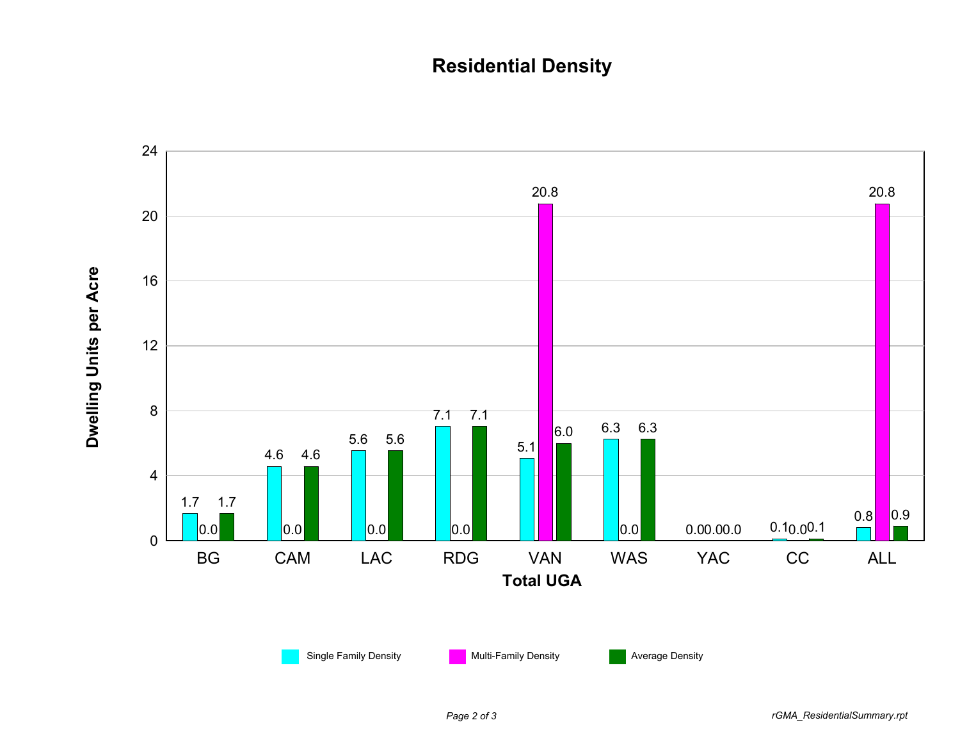## **Residential Density**